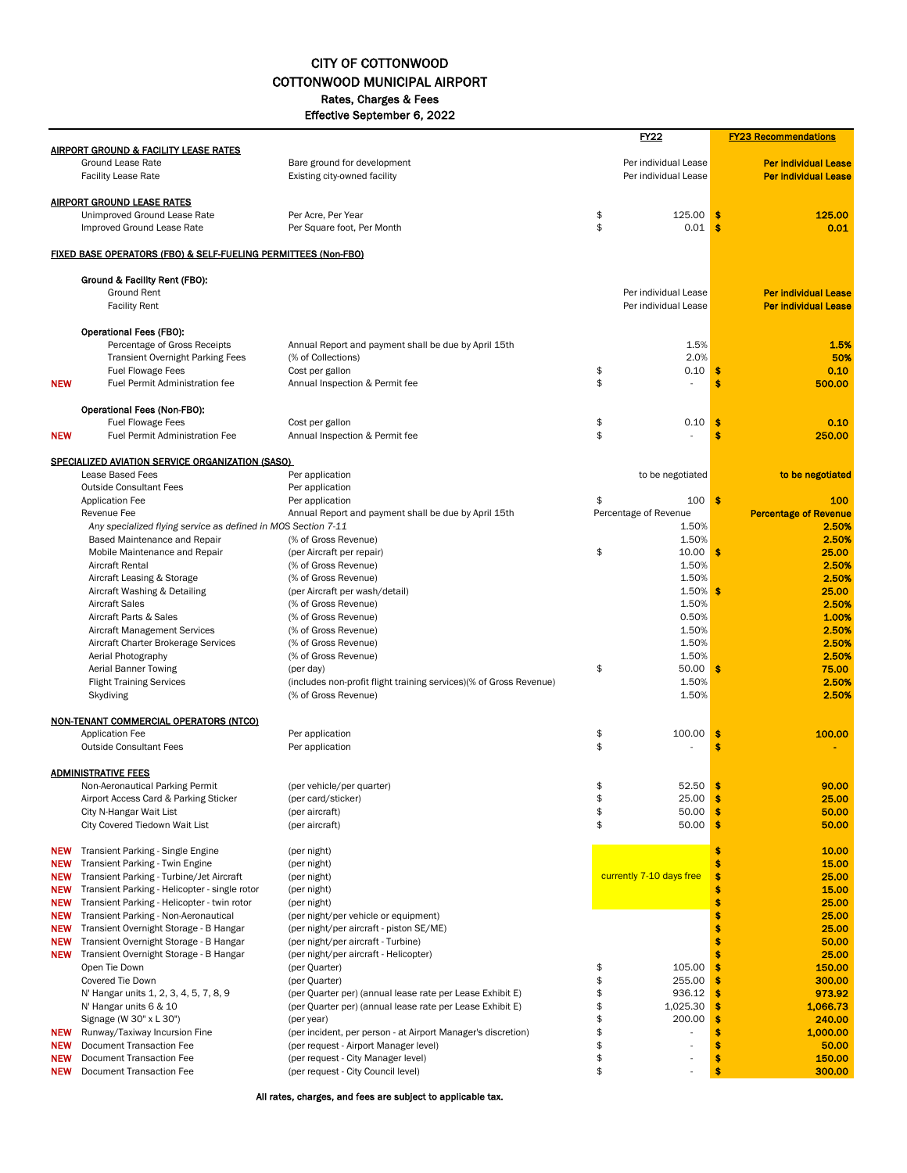## CITY OF COTTONWOOD COTTONWOOD MUNICIPAL AIRPORT Rates, Charges & Fees

Effective September 6, 2022

|                          |                                                                                |                                                                               |          | <u>FY22</u>                  |          | <b>FY23 Recommendations</b>           |
|--------------------------|--------------------------------------------------------------------------------|-------------------------------------------------------------------------------|----------|------------------------------|----------|---------------------------------------|
|                          | <b>AIRPORT GROUND &amp; FACILITY LEASE RATES</b><br>Ground Lease Rate          | Bare ground for development                                                   |          | Per individual Lease         |          | <b>Per individual Lease</b>           |
|                          | <b>Facility Lease Rate</b>                                                     | Existing city-owned facility                                                  |          | Per individual Lease         |          | <b>Per individual Lease</b>           |
|                          |                                                                                |                                                                               |          |                              |          |                                       |
|                          | <b>AIRPORT GROUND LEASE RATES</b><br>Unimproved Ground Lease Rate              | Per Acre, Per Year                                                            | \$       | 125.00                       | s        | 125.00                                |
|                          | Improved Ground Lease Rate                                                     | Per Square foot, Per Month                                                    | \$       | 0.01                         | \$       | 0.01                                  |
|                          |                                                                                |                                                                               |          |                              |          |                                       |
|                          | <b>FIXED BASE OPERATORS (FBO) &amp; SELF-FUELING PERMITTEES (Non-FBO)</b>      |                                                                               |          |                              |          |                                       |
|                          | Ground & Facility Rent (FBO):                                                  |                                                                               |          |                              |          |                                       |
|                          | Ground Rent                                                                    |                                                                               |          | Per individual Lease         |          | <b>Per individual Lease</b>           |
|                          | <b>Facility Rent</b>                                                           |                                                                               |          | Per individual Lease         |          | <b>Per individual Lease</b>           |
|                          | <b>Operational Fees (FBO):</b>                                                 |                                                                               |          |                              |          |                                       |
|                          | Percentage of Gross Receipts                                                   | Annual Report and payment shall be due by April 15th                          |          | 1.5%                         |          | 1.5%                                  |
|                          | <b>Transient Overnight Parking Fees</b>                                        | (% of Collections)                                                            |          | 2.0%                         |          | 50%                                   |
| <b>NEW</b>               | <b>Fuel Flowage Fees</b><br><b>Fuel Permit Administration fee</b>              | Cost per gallon<br>Annual Inspection & Permit fee                             | \$<br>\$ | 0.10                         | \$<br>\$ | 0.10<br>500.00                        |
|                          |                                                                                |                                                                               |          |                              |          |                                       |
|                          | Operational Fees (Non-FBO):                                                    |                                                                               |          |                              |          |                                       |
|                          | <b>Fuel Flowage Fees</b>                                                       | Cost per gallon                                                               | \$       | 0.10                         | \$       | 0.10                                  |
| <b>NEW</b>               | Fuel Permit Administration Fee                                                 | Annual Inspection & Permit fee                                                | \$       |                              | \$       | 250.00                                |
|                          | SPECIALIZED AVIATION SERVICE ORGANIZATION (SASO)                               |                                                                               |          |                              |          |                                       |
|                          | <b>Lease Based Fees</b>                                                        | Per application                                                               |          | to be negotiated             |          | to be negotiated                      |
|                          | <b>Outside Consultant Fees</b>                                                 | Per application                                                               |          |                              |          |                                       |
|                          | Application Fee                                                                | Per application                                                               | \$       | 100<br>Percentage of Revenue | \$       | 100                                   |
|                          | Revenue Fee<br>Any specialized flying service as defined in MOS Section 7-11   | Annual Report and payment shall be due by April 15th                          |          | 1.50%                        |          | <b>Percentage of Revenue</b><br>2.50% |
|                          | Based Maintenance and Repair                                                   | (% of Gross Revenue)                                                          |          | 1.50%                        |          | 2.50%                                 |
|                          | Mobile Maintenance and Repair                                                  | (per Aircraft per repair)                                                     | \$       | 10.00                        | \$       | 25.00                                 |
|                          | <b>Aircraft Rental</b>                                                         | (% of Gross Revenue)                                                          |          | 1.50%                        |          | 2.50%                                 |
|                          | Aircraft Leasing & Storage                                                     | (% of Gross Revenue)                                                          |          | 1.50%                        |          | 2.50%                                 |
|                          | Aircraft Washing & Detailing                                                   | (per Aircraft per wash/detail)                                                |          | 1.50%                        | S        | 25.00                                 |
|                          | <b>Aircraft Sales</b><br>Aircraft Parts & Sales                                | (% of Gross Revenue)<br>(% of Gross Revenue)                                  |          | 1.50%<br>0.50%               |          | 2.50%<br>1.00%                        |
|                          | <b>Aircraft Management Services</b>                                            | (% of Gross Revenue)                                                          |          | 1.50%                        |          | 2.50%                                 |
|                          | Aircraft Charter Brokerage Services                                            | (% of Gross Revenue)                                                          |          | 1.50%                        |          | 2.50%                                 |
|                          | Aerial Photography                                                             | (% of Gross Revenue)                                                          |          | 1.50%                        |          | 2.50%                                 |
|                          | <b>Aerial Banner Towing</b>                                                    | (per day)                                                                     | \$       | 50.00                        | s        | 75.00                                 |
|                          | <b>Flight Training Services</b>                                                | (includes non-profit flight training services)(% of Gross Revenue)            |          | 1.50%                        |          | 2.50%                                 |
|                          | Skydiving                                                                      | (% of Gross Revenue)                                                          |          | 1.50%                        |          | 2.50%                                 |
|                          | <b>NON-TENANT COMMERCIAL OPERATORS (NTCO)</b>                                  |                                                                               |          |                              |          |                                       |
|                          | <b>Application Fee</b>                                                         | Per application                                                               | \$       | 100.00                       | \$       | 100.00                                |
|                          | <b>Outside Consultant Fees</b>                                                 | Per application                                                               | \$       |                              | \$       |                                       |
|                          | <b>ADMINISTRATIVE FEES</b>                                                     |                                                                               |          |                              |          |                                       |
|                          | Non-Aeronautical Parking Permit                                                | (per vehicle/per quarter)                                                     | \$       | 52.50                        | \$       | 90.00                                 |
|                          | Airport Access Card & Parking Sticker                                          | (per card/sticker)                                                            |          | 25.00                        |          | 25.00                                 |
|                          | City N-Hangar Wait List                                                        | (per aircraft)                                                                | \$       | 50.00                        | \$       | 50.00                                 |
|                          | City Covered Tiedown Wait List                                                 | (per aircraft)                                                                | \$       | 50.00                        |          | 50.00                                 |
| <b>NEW</b>               | Transient Parking - Single Engine                                              | (per night)                                                                   |          |                              | Ś        | 10.00                                 |
| <b>NEW</b>               | Transient Parking - Twin Engine                                                | (per night)                                                                   |          |                              |          | 15.00                                 |
| <b>NEW</b>               | Transient Parking - Turbine/Jet Aircraft                                       | (per night)                                                                   |          | currently 7-10 days free     |          | 25.00                                 |
| <b>NEW</b>               | Transient Parking - Helicopter - single rotor                                  | (per night)                                                                   |          |                              |          | 15.00                                 |
| <b>NEW</b>               | Transient Parking - Helicopter - twin rotor                                    | (per night)                                                                   |          |                              |          | 25.00                                 |
| <b>NEW</b>               | Transient Parking - Non-Aeronautical<br>Transient Overnight Storage - B Hangar | (per night/per vehicle or equipment)                                          |          |                              | \$       | 25.00<br>25.00                        |
| <b>NEW</b><br><b>NEW</b> | Transient Overnight Storage - B Hangar                                         | (per night/per aircraft - piston SE/ME)<br>(per night/per aircraft - Turbine) |          |                              |          | 50.00                                 |
|                          | <b>NEW</b> Transient Overnight Storage - B Hangar                              | (per night/per aircraft - Helicopter)                                         |          |                              |          | 25.00                                 |
|                          | Open Tie Down                                                                  | (per Quarter)                                                                 | \$       | 105.00                       |          | 150.00                                |
|                          | Covered Tie Down                                                               | (per Quarter)                                                                 | \$       | 255.00                       |          | 300.00                                |
|                          | N' Hangar units 1, 2, 3, 4, 5, 7, 8, 9                                         | (per Quarter per) (annual lease rate per Lease Exhibit E)                     | \$       | 936.12                       |          | 973.92                                |
|                          | N' Hangar units 6 & 10<br>Signage (W 30" x L 30")                              | (per Quarter per) (annual lease rate per Lease Exhibit E)                     | \$<br>\$ | 1,025.30<br>200.00           |          | 1,066.73<br>240.00                    |
| <b>NEW</b>               | Runway/Taxiway Incursion Fine                                                  | (per year)<br>(per incident, per person - at Airport Manager's discretion)    | \$       |                              |          | 1,000.00                              |
| <b>NEW</b>               | Document Transaction Fee                                                       | (per request - Airport Manager level)                                         | \$       |                              |          | 50.00                                 |
| <b>NEW</b>               | Document Transaction Fee                                                       | (per request - City Manager level)                                            | \$       |                              | \$       | 150.00                                |
| <b>NEW</b>               | Document Transaction Fee                                                       | (per request - City Council level)                                            | \$       |                              | Ś        | 300.00                                |

All rates, charges, and fees are subject to applicable tax.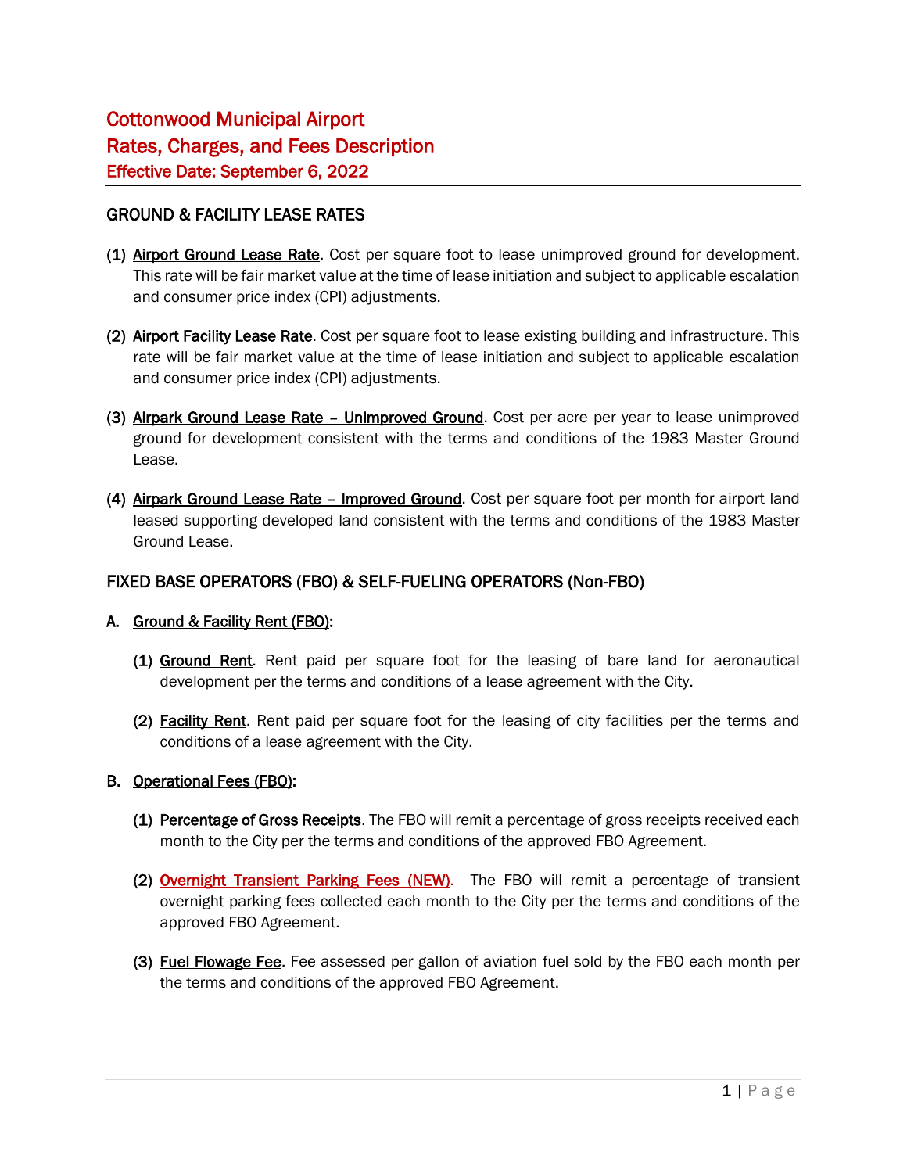## GROUND & FACILITY LEASE RATES

- (1) Airport Ground Lease Rate. Cost per square foot to lease unimproved ground for development. This rate will be fair market value at the time of lease initiation and subject to applicable escalation and consumer price index (CPI) adjustments.
- (2) Airport Facility Lease Rate. Cost per square foot to lease existing building and infrastructure. This rate will be fair market value at the time of lease initiation and subject to applicable escalation and consumer price index (CPI) adjustments.
- (3) Airpark Ground Lease Rate Unimproved Ground. Cost per acre per year to lease unimproved ground for development consistent with the terms and conditions of the 1983 Master Ground Lease.
- (4) Airpark Ground Lease Rate Improved Ground. Cost per square foot per month for airport land leased supporting developed land consistent with the terms and conditions of the 1983 Master Ground Lease.

## FIXED BASE OPERATORS (FBO) & SELF-FUELING OPERATORS (Non-FBO)

#### A. Ground & Facility Rent (FBO):

- (1) Ground Rent. Rent paid per square foot for the leasing of bare land for aeronautical development per the terms and conditions of a lease agreement with the City.
- (2) Facility Rent. Rent paid per square foot for the leasing of city facilities per the terms and conditions of a lease agreement with the City.

#### B. Operational Fees (FBO):

- (1) Percentage of Gross Receipts. The FBO will remit a percentage of gross receipts received each month to the City per the terms and conditions of the approved FBO Agreement.
- (2) Overnight Transient Parking Fees (NEW). The FBO will remit a percentage of transient overnight parking fees collected each month to the City per the terms and conditions of the approved FBO Agreement.
- (3) Fuel Flowage Fee. Fee assessed per gallon of aviation fuel sold by the FBO each month per the terms and conditions of the approved FBO Agreement.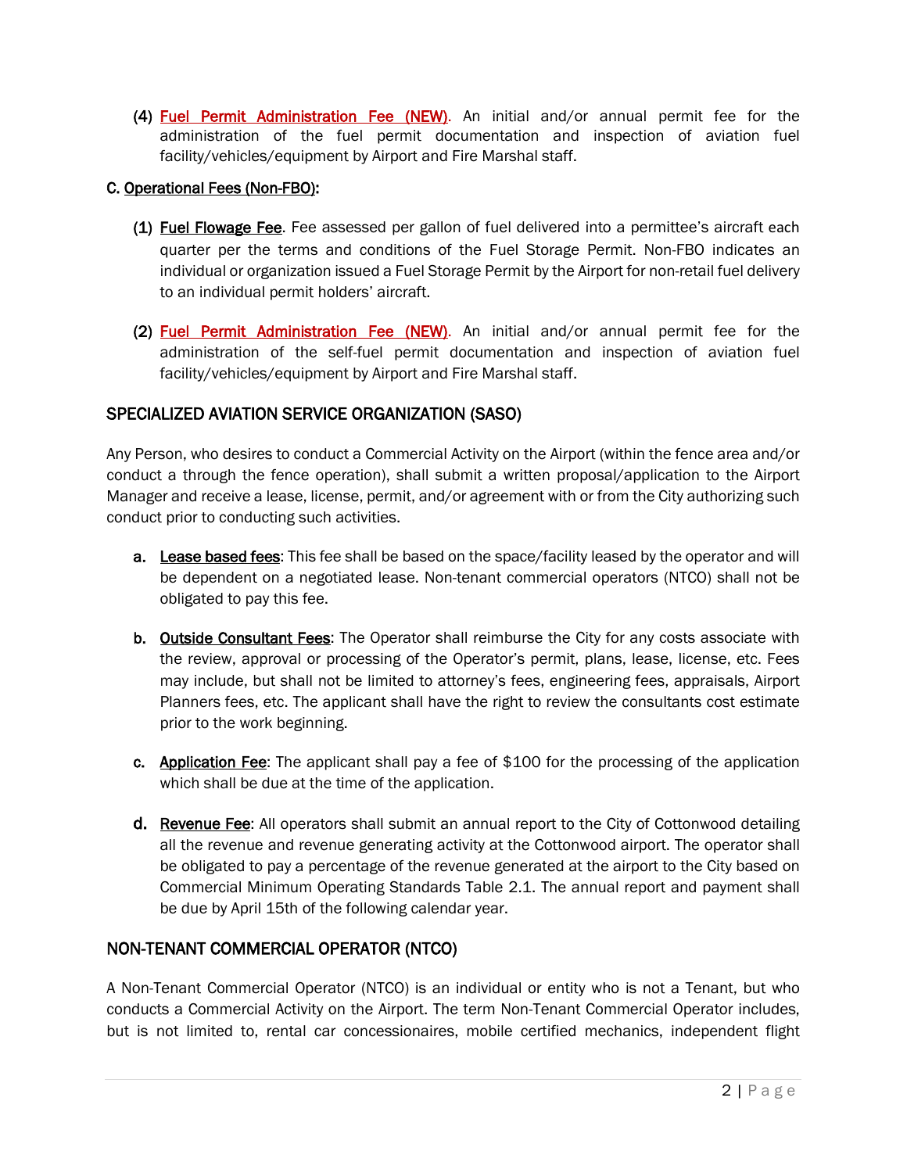(4) Fuel Permit Administration Fee (NEW). An initial and/or annual permit fee for the administration of the fuel permit documentation and inspection of aviation fuel facility/vehicles/equipment by Airport and Fire Marshal staff.

## C. Operational Fees (Non-FBO):

- (1) **Fuel Flowage Fee**. Fee assessed per gallon of fuel delivered into a permittee's aircraft each quarter per the terms and conditions of the Fuel Storage Permit. Non-FBO indicates an individual or organization issued a Fuel Storage Permit by the Airport for non-retail fuel delivery to an individual permit holders' aircraft.
- (2) Fuel Permit Administration Fee (NEW). An initial and/or annual permit fee for the administration of the self-fuel permit documentation and inspection of aviation fuel facility/vehicles/equipment by Airport and Fire Marshal staff.

## SPECIALIZED AVIATION SERVICE ORGANIZATION (SASO)

Any Person, who desires to conduct a Commercial Activity on the Airport (within the fence area and/or conduct a through the fence operation), shall submit a written proposal/application to the Airport Manager and receive a lease, license, permit, and/or agreement with or from the City authorizing such conduct prior to conducting such activities.

- a. Lease based fees: This fee shall be based on the space/facility leased by the operator and will be dependent on a negotiated lease. Non-tenant commercial operators (NTCO) shall not be obligated to pay this fee.
- b. Outside Consultant Fees: The Operator shall reimburse the City for any costs associate with the review, approval or processing of the Operator's permit, plans, lease, license, etc. Fees may include, but shall not be limited to attorney's fees, engineering fees, appraisals, Airport Planners fees, etc. The applicant shall have the right to review the consultants cost estimate prior to the work beginning.
- c. **Application Fee**: The applicant shall pay a fee of \$100 for the processing of the application which shall be due at the time of the application.
- d. Revenue Fee: All operators shall submit an annual report to the City of Cottonwood detailing all the revenue and revenue generating activity at the Cottonwood airport. The operator shall be obligated to pay a percentage of the revenue generated at the airport to the City based on Commercial Minimum Operating Standards Table 2.1. The annual report and payment shall be due by April 15th of the following calendar year.

# NON-TENANT COMMERCIAL OPERATOR (NTCO)

A Non-Tenant Commercial Operator (NTCO) is an individual or entity who is not a Tenant, but who conducts a Commercial Activity on the Airport. The term Non-Tenant Commercial Operator includes, but is not limited to, rental car concessionaires, mobile certified mechanics, independent flight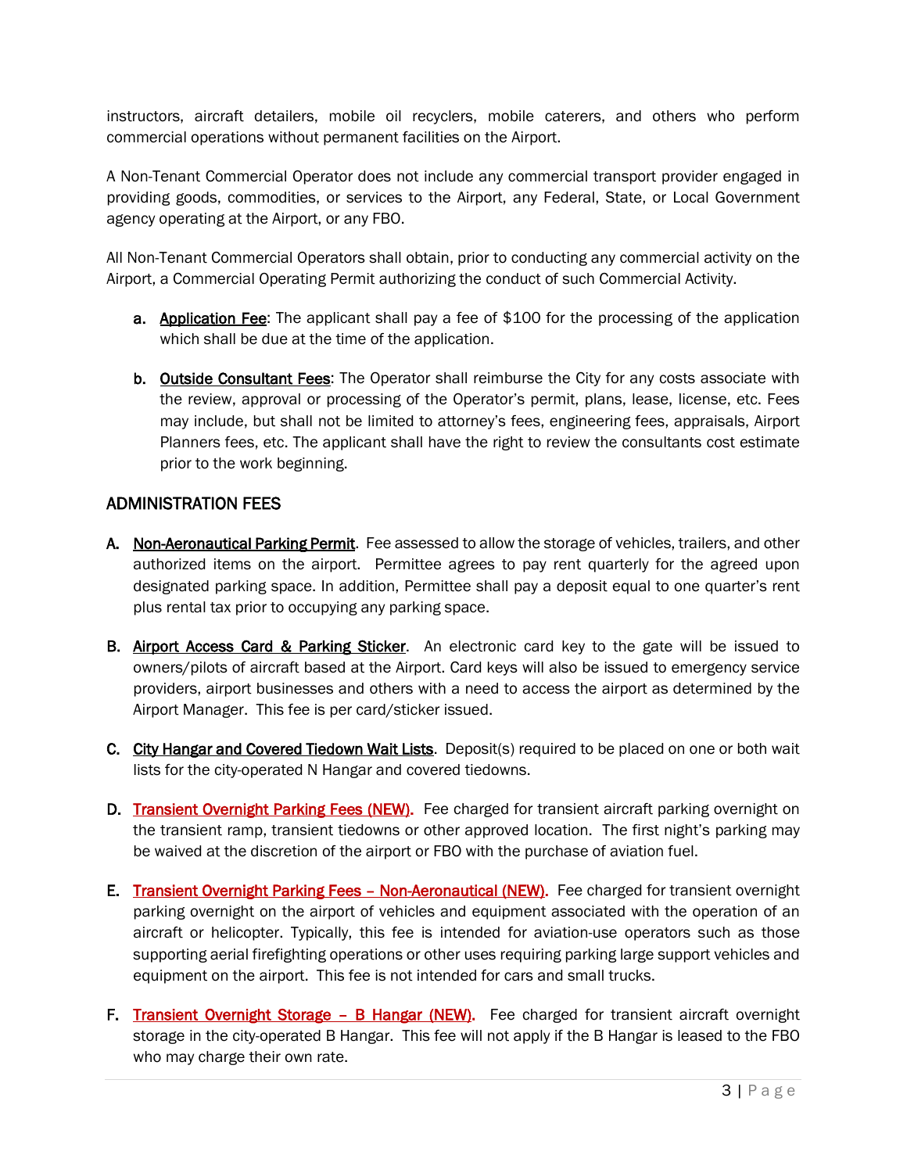instructors, aircraft detailers, mobile oil recyclers, mobile caterers, and others who perform commercial operations without permanent facilities on the Airport.

A Non-Tenant Commercial Operator does not include any commercial transport provider engaged in providing goods, commodities, or services to the Airport, any Federal, State, or Local Government agency operating at the Airport, or any FBO.

All Non-Tenant Commercial Operators shall obtain, prior to conducting any commercial activity on the Airport, a Commercial Operating Permit authorizing the conduct of such Commercial Activity.

- a. Application Fee: The applicant shall pay a fee of \$100 for the processing of the application which shall be due at the time of the application.
- b. **Outside Consultant Fees:** The Operator shall reimburse the City for any costs associate with the review, approval or processing of the Operator's permit, plans, lease, license, etc. Fees may include, but shall not be limited to attorney's fees, engineering fees, appraisals, Airport Planners fees, etc. The applicant shall have the right to review the consultants cost estimate prior to the work beginning.

## ADMINISTRATION FEES

- A. Non-Aeronautical Parking Permit. Fee assessed to allow the storage of vehicles, trailers, and other authorized items on the airport. Permittee agrees to pay rent quarterly for the agreed upon designated parking space. In addition, Permittee shall pay a deposit equal to one quarter's rent plus rental tax prior to occupying any parking space.
- B. Airport Access Card & Parking Sticker. An electronic card key to the gate will be issued to owners/pilots of aircraft based at the Airport. Card keys will also be issued to emergency service providers, airport businesses and others with a need to access the airport as determined by the Airport Manager. This fee is per card/sticker issued.
- C. City Hangar and Covered Tiedown Wait Lists. Deposit(s) required to be placed on one or both wait lists for the city-operated N Hangar and covered tiedowns.
- D. Transient Overnight Parking Fees (NEW). Fee charged for transient aircraft parking overnight on the transient ramp, transient tiedowns or other approved location. The first night's parking may be waived at the discretion of the airport or FBO with the purchase of aviation fuel.
- E. Transient Overnight Parking Fees Non-Aeronautical (NEW). Fee charged for transient overnight parking overnight on the airport of vehicles and equipment associated with the operation of an aircraft or helicopter. Typically, this fee is intended for aviation-use operators such as those supporting aerial firefighting operations or other uses requiring parking large support vehicles and equipment on the airport. This fee is not intended for cars and small trucks.
- F. Transient Overnight Storage B Hangar (NEW). Fee charged for transient aircraft overnight storage in the city-operated B Hangar. This fee will not apply if the B Hangar is leased to the FBO who may charge their own rate.